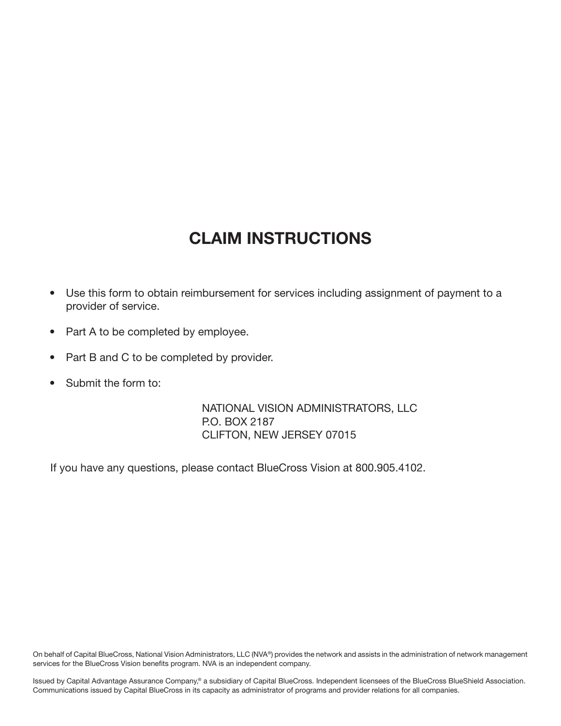## CLAIM INSTRUCTIONS

- Use this form to obtain reimbursement for services including assignment of payment to a provider of service.
- Part A to be completed by employee.
- Part B and C to be completed by provider.
- Submit the form to:

NATIONAL VISION ADMINISTRATORS, LLC P.O. BOX 2187 CLIFTON, NEW JERSEY 07015

If you have any questions, please contact BlueCross Vision at 800.905.4102.

On behalf of Capital BlueCross, National Vision Administrators, LLC (NVA®) provides the network and assists in the administration of network management services for the BlueCross Vision benefits program. NVA is an independent company.

Issued by Capital Advantage Assurance Company,® a subsidiary of Capital BlueCross. Independent licensees of the BlueCross BlueShield Association. Communications issued by Capital BlueCross in its capacity as administrator of programs and provider relations for all companies.